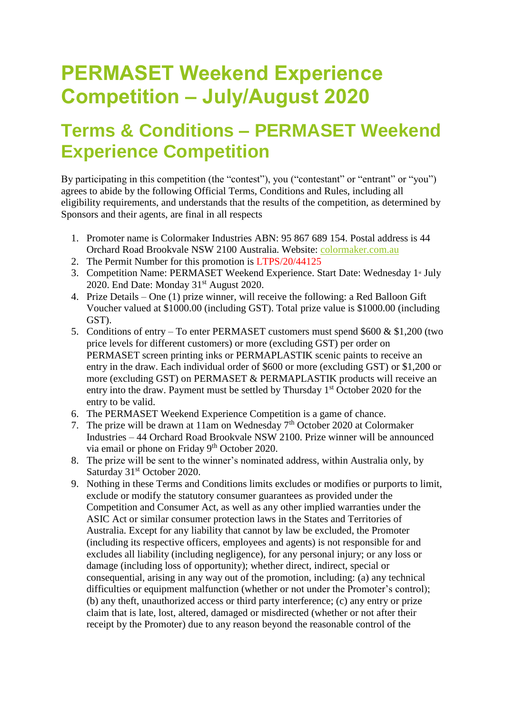## **PERMASET Weekend Experience Competition – July/August 2020**

## **Terms & Conditions – PERMASET Weekend Experience Competition**

By participating in this competition (the "contest"), you ("contestant" or "entrant" or "you") agrees to abide by the following Official Terms, Conditions and Rules, including all eligibility requirements, and understands that the results of the competition, as determined by Sponsors and their agents, are final in all respects

- 1. Promoter name is Colormaker Industries ABN: 95 867 689 154. Postal address is 44 Orchard Road Brookvale NSW 2100 Australia. Website: [colormaker.com.au](http://www.colormaker.com.au/)
- 2. The Permit Number for this promotion is LTPS/20/44125
- 3. Competition Name: PERMASET Weekend Experience. Start Date: Wednesday 1<sup>st</sup> July 2020. End Date: Monday 31<sup>st</sup> August 2020.
- 4. Prize Details One (1) prize winner, will receive the following: a Red Balloon Gift Voucher valued at \$1000.00 (including GST). Total prize value is \$1000.00 (including GST).
- 5. Conditions of entry To enter PERMASET customers must spend \$600 & \$1,200 (two price levels for different customers) or more (excluding GST) per order on PERMASET screen printing inks or PERMAPLASTIK scenic paints to receive an entry in the draw. Each individual order of \$600 or more (excluding GST) or \$1,200 or more (excluding GST) on PERMASET & PERMAPLASTIK products will receive an entry into the draw. Payment must be settled by Thursday 1<sup>st</sup> October 2020 for the entry to be valid.
- 6. The PERMASET Weekend Experience Competition is a game of chance.
- 7. The prize will be drawn at 11am on Wednesday  $7<sup>th</sup>$  October 2020 at Colormaker Industries – 44 Orchard Road Brookvale NSW 2100. Prize winner will be announced via email or phone on Friday 9<sup>th</sup> October 2020.
- 8. The prize will be sent to the winner's nominated address, within Australia only, by Saturday 31<sup>st</sup> October 2020.
- 9. Nothing in these Terms and Conditions limits excludes or modifies or purports to limit, exclude or modify the statutory consumer guarantees as provided under the Competition and Consumer Act, as well as any other implied warranties under the ASIC Act or similar consumer protection laws in the States and Territories of Australia. Except for any liability that cannot by law be excluded, the Promoter (including its respective officers, employees and agents) is not responsible for and excludes all liability (including negligence), for any personal injury; or any loss or damage (including loss of opportunity); whether direct, indirect, special or consequential, arising in any way out of the promotion, including: (a) any technical difficulties or equipment malfunction (whether or not under the Promoter's control); (b) any theft, unauthorized access or third party interference; (c) any entry or prize claim that is late, lost, altered, damaged or misdirected (whether or not after their receipt by the Promoter) due to any reason beyond the reasonable control of the